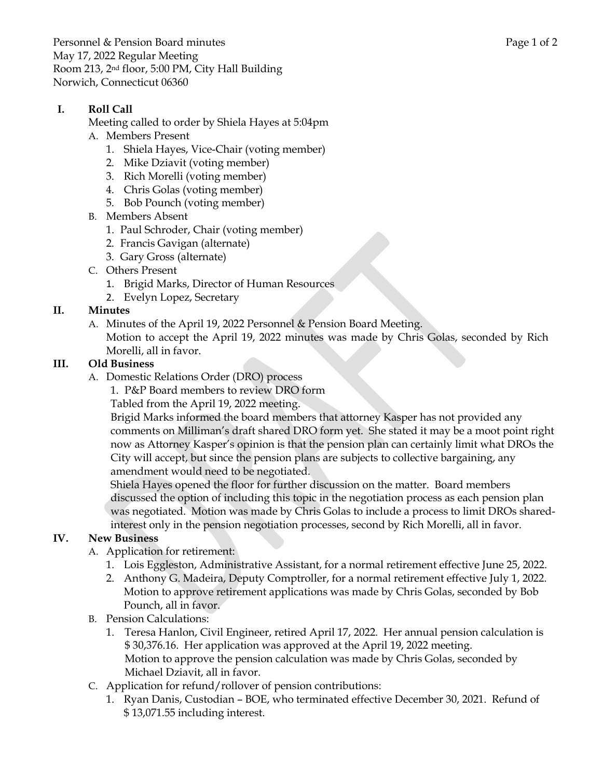Personnel & Pension Board minutes **Page 1** of 2 May 17, 2022 Regular Meeting Room 213, 2nd floor, 5:00 PM, City Hall Building Norwich, Connecticut 06360

## **I. Roll Call**

Meeting called to order by Shiela Hayes at 5:04pm

- A. Members Present
	- 1. Shiela Hayes, Vice-Chair (voting member)
	- 2. Mike Dziavit (voting member)
	- 3. Rich Morelli (voting member)
	- 4. Chris Golas (voting member)
	- 5. Bob Pounch (voting member)
- B. Members Absent
	- 1. Paul Schroder, Chair (voting member)
	- 2. Francis Gavigan (alternate)
	- 3. Gary Gross (alternate)
- C. Others Present
	- 1. Brigid Marks, Director of Human Resources
	- 2. Evelyn Lopez, Secretary

### **II. Minutes**

A. Minutes of the April 19, 2022 Personnel & Pension Board Meeting.

Motion to accept the April 19, 2022 minutes was made by Chris Golas, seconded by Rich Morelli, all in favor.

### **III. Old Business**

- A. Domestic Relations Order (DRO) process
	- 1. P&P Board members to review DRO form

Tabled from the April 19, 2022 meeting.

Brigid Marks informed the board members that attorney Kasper has not provided any comments on Milliman's draft shared DRO form yet. She stated it may be a moot point right now as Attorney Kasper's opinion is that the pension plan can certainly limit what DROs the City will accept, but since the pension plans are subjects to collective bargaining, any amendment would need to be negotiated.

Shiela Hayes opened the floor for further discussion on the matter. Board members discussed the option of including this topic in the negotiation process as each pension plan was negotiated. Motion was made by Chris Golas to include a process to limit DROs sharedinterest only in the pension negotiation processes, second by Rich Morelli, all in favor.

### **IV. New Business**

- A. Application for retirement:
	- 1. Lois Eggleston, Administrative Assistant, for a normal retirement effective June 25, 2022.
	- 2. Anthony G. Madeira, Deputy Comptroller, for a normal retirement effective July 1, 2022. Motion to approve retirement applications was made by Chris Golas, seconded by Bob Pounch, all in favor.
- B. Pension Calculations:
	- 1. Teresa Hanlon, Civil Engineer, retired April 17, 2022. Her annual pension calculation is \$ 30,376.16. Her application was approved at the April 19, 2022 meeting. Motion to approve the pension calculation was made by Chris Golas, seconded by Michael Dziavit, all in favor.
- C. Application for refund/rollover of pension contributions:
	- 1. Ryan Danis, Custodian BOE, who terminated effective December 30, 2021. Refund of \$ 13,071.55 including interest.